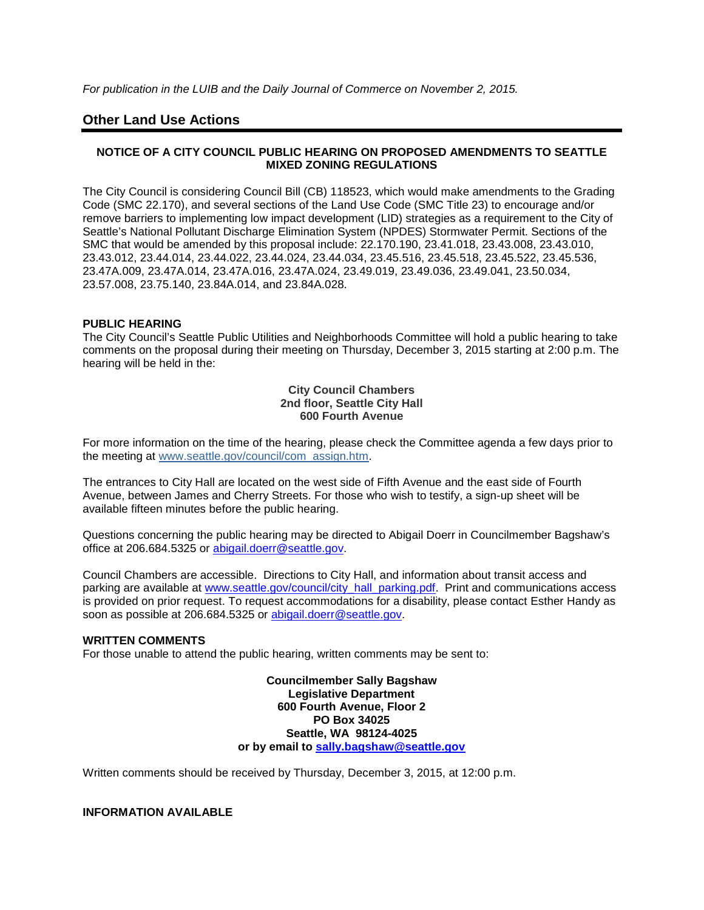*For publication in the LUIB and the Daily Journal of Commerce on November 2, 2015.*

# **Other Land Use Actions**

## **NOTICE OF A CITY COUNCIL PUBLIC HEARING ON PROPOSED AMENDMENTS TO SEATTLE MIXED ZONING REGULATIONS**

The City Council is considering Council Bill (CB) 118523, which would make amendments to the Grading Code (SMC 22.170), and several sections of the Land Use Code (SMC Title 23) to encourage and/or remove barriers to implementing low impact development (LID) strategies as a requirement to the City of Seattle's National Pollutant Discharge Elimination System (NPDES) Stormwater Permit. Sections of the SMC that would be amended by this proposal include: 22.170.190, 23.41.018, 23.43.008, 23.43.010, 23.43.012, 23.44.014, 23.44.022, 23.44.024, 23.44.034, 23.45.516, 23.45.518, 23.45.522, 23.45.536, 23.47A.009, 23.47A.014, 23.47A.016, 23.47A.024, 23.49.019, 23.49.036, 23.49.041, 23.50.034, 23.57.008, 23.75.140, 23.84A.014, and 23.84A.028.

## **PUBLIC HEARING**

The City Council's Seattle Public Utilities and Neighborhoods Committee will hold a public hearing to take comments on the proposal during their meeting on Thursday, December 3, 2015 starting at 2:00 p.m. The hearing will be held in the:

#### **City Council Chambers 2nd floor, Seattle City Hall 600 Fourth Avenue**

For more information on the time of the hearing, please check the Committee agenda a few days prior to the meeting at [www.seattle.gov/council/com\\_assign.htm.](http://www.seattle.gov/council/com_assign.htm)

The entrances to City Hall are located on the west side of Fifth Avenue and the east side of Fourth Avenue, between James and Cherry Streets. For those who wish to testify, a sign-up sheet will be available fifteen minutes before the public hearing.

Questions concerning the public hearing may be directed to Abigail Doerr in Councilmember Bagshaw's office at 206.684.5325 or [abigail.doerr@seattle.gov.](mailto:abigail.doerr@seattle.gov)

Council Chambers are accessible. Directions to City Hall, and information about transit access and parking are available at [www.seattle.gov/council/city\\_hall\\_parking.pdf.](http://www.seattle.gov/council/city_hall_parking.pdf) Print and communications access is provided on prior request. To request accommodations for a disability, please contact Esther Handy as soon as possible at 206.684.5325 or [abigail.doerr@seattle.gov.](mailto:abigail.doerr@seattle.gov)

#### **WRITTEN COMMENTS**

For those unable to attend the public hearing, written comments may be sent to:

**Councilmember Sally Bagshaw Legislative Department 600 Fourth Avenue, Floor 2 PO Box 34025 Seattle, WA 98124-4025 or by email to [sally.bagshaw@seattle.gov](mailto:sally.bagshaw@seattle.gov)**

Written comments should be received by Thursday, December 3, 2015, at 12:00 p.m.

**INFORMATION AVAILABLE**